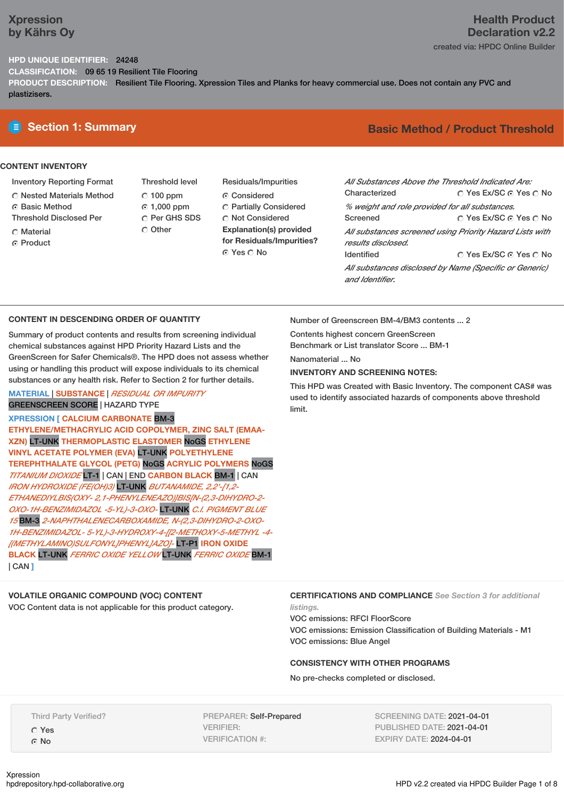### **Xpression by Kährs Oy**

## **Health Product Declaration v2.2**

### created via: HPDC Online Builder

#### **HPD UNIQUE IDENTIFIER:** 24248

**CLASSIFICATION:** 09 65 19 Resilient Tile Flooring

**PRODUCT DESCRIPTION:** Resilient Tile Flooring. Xpression Tiles and Planks for heavy commercial use. Does not contain any PVC and plastizisers.

#### **CONTENT INVENTORY**

- Inventory Reporting Format
- Nested Materials Method
- **6** Basic Method
- Threshold Disclosed Per
- C Material
- **C** Product
- Threshold level  $C$  100 ppm 1,000 ppm C Per GHS SDS Other
- Residuals/Impurities Considered Partially Considered **C** Not Considered **Explanation(s) provided for Residuals/Impurities?** ⊙ Yes O No

### **E** Section 1: Summary **Basic Method / Product Threshold**

| All Substances Above the Threshold Indicated Are:        |                        |  |  |  |
|----------------------------------------------------------|------------------------|--|--|--|
| Characterized                                            | ∩ Yes Ex/SC ∩ Yes ∩ No |  |  |  |
| % weight and role provided for all substances.           |                        |  |  |  |
| Screened                                                 | ∩ Yes Ex/SC ∩ Yes ∩ No |  |  |  |
| All substances screened using Priority Hazard Lists with |                        |  |  |  |
| results disclosed.                                       |                        |  |  |  |
| <b>Identified</b>                                        | ○ Yes Ex/SC ⊙ Yes ○ No |  |  |  |
| All substances disclosed by Name (Specific or Generic)   |                        |  |  |  |
| and Identifier                                           |                        |  |  |  |

#### **CONTENT IN DESCENDING ORDER OF QUANTITY**

Summary of product contents and results from screening individual chemical substances against HPD Priority Hazard Lists and the GreenScreen for Safer Chemicals®. The HPD does not assess whether using or handling this product will expose individuals to its chemical substances or any health risk. Refer to Section 2 for further details.

#### **MATERIAL** | **SUBSTANCE** | *RESIDUAL OR IMPURITY* GREENSCREEN SCORE | HAZARD TYPE

**XPRESSION [ CALCIUM CARBONATE** BM-3 **ETHYLENE/METHACRYLIC ACID COPOLYMER, ZINC SALT (EMAA-XZN)** LT-UNK **THERMOPLASTIC ELASTOMER** NoGS **ETHYLENE VINYL ACETATE POLYMER (EVA)** LT-UNK **POLYETHYLENE TEREPHTHALATE GLYCOL (PETG)** NoGS **ACRYLIC POLYMERS** NoGS *TITANIUM DIOXIDE* LT-1 | CAN | END **CARBON BLACK** BM-1 | CAN *IRON HYDROXIDE (FE(OH)3)* LT-UNK *BUTANAMIDE, 2,2'-[1,2- ETHANEDIYLBIS(OXY- 2,1-PHENYLENEAZO)]BIS[N-(2,3-DIHYDRO-2- OXO-1H-BENZIMIDAZOL -5-YL)-3-OXO-* LT-UNK *C.I. PIGMENT BLUE 15* BM-3 *2-NAPHTHALENECARBOXAMIDE, N-(2,3-DIHYDRO-2-OXO-1H-BENZIMIDAZOL- 5-YL)-3-HYDROXY-4-[ 2-METHOXY-5-METHYL -4- [(METHYLAMINO)SULFONYL]PHENYL]AZO]-* LT-P1 **IRON OXIDE BLACK** LT-UNK *FERRIC OXIDE YELLOW* LT-UNK *FERRIC OXIDE* BM-1 | CAN **]**

#### **VOLATILE ORGANIC COMPOUND (VOC) CONTENT**

VOC Content data is not applicable for this product category.

Number of Greenscreen BM-4/BM3 contents ... 2

Contents highest concern GreenScreen Benchmark or List translator Score ... BM-1

Nanomaterial ... No

#### **INVENTORY AND SCREENING NOTES:**

This HPD was Created with Basic Inventory. The component CAS# was used to identify associated hazards of components above threshold limit.

#### **CERTIFICATIONS AND COMPLIANCE** *See Section 3 for additional listings.*

VOC emissions: RFCI FloorScore VOC emissions: Emission Classification of Building Materials - M1 VOC emissions: Blue Angel

#### **CONSISTENCY WITH OTHER PROGRAMS**

No pre-checks completed or disclosed.

Third Party Verified? Yes ⊙ No

PREPARER: Self-Prepared VERIFIER: VERIFICATION #:

SCREENING DATE: 2021-04-01 PUBLISHED DATE: 2021-04-01 EXPIRY DATE: 2024-04-01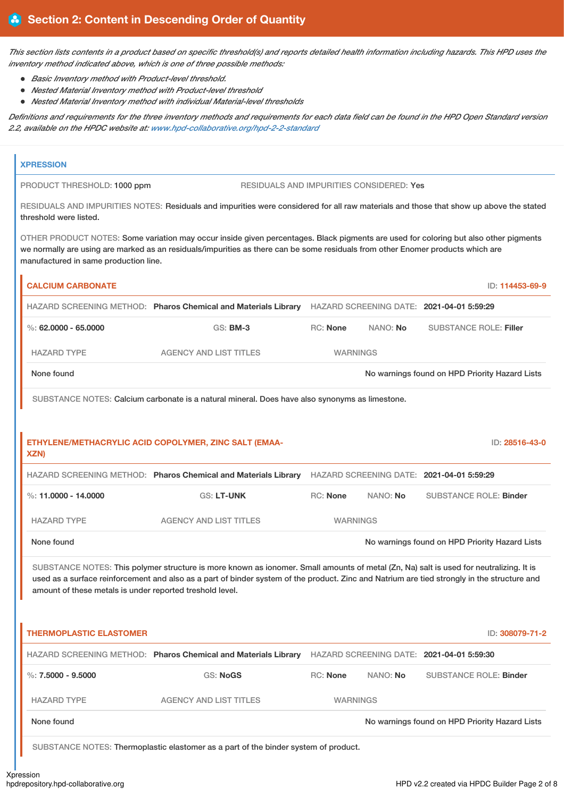This section lists contents in a product based on specific threshold(s) and reports detailed health information including hazards. This HPD uses the *inventory method indicated above, which is one of three possible methods:*

- *Basic Inventory method with Product-level threshold.*
- *Nested Material Inventory method with Product-level threshold*
- *Nested Material Inventory method with individual Material-level thresholds*

Definitions and requirements for the three inventory methods and requirements for each data field can be found in the HPD Open Standard version *2.2, available on the HPDC website at: www.hpd-collaborative.org/hpd-2-2-standard*

| <b>XPRESSION</b>                                         |                                                                                                                                                                                                                                                                                       |                 |          |                                                |
|----------------------------------------------------------|---------------------------------------------------------------------------------------------------------------------------------------------------------------------------------------------------------------------------------------------------------------------------------------|-----------------|----------|------------------------------------------------|
| PRODUCT THRESHOLD: 1000 ppm                              | <b>RESIDUALS AND IMPURITIES CONSIDERED: Yes</b>                                                                                                                                                                                                                                       |                 |          |                                                |
| threshold were listed.                                   | RESIDUALS AND IMPURITIES NOTES: Residuals and impurities were considered for all raw materials and those that show up above the stated                                                                                                                                                |                 |          |                                                |
| manufactured in same production line.                    | OTHER PRODUCT NOTES: Some variation may occur inside given percentages. Black pigments are used for coloring but also other pigments<br>we normally are using are marked as an residuals/impurities as there can be some residuals from other Enomer products which are               |                 |          |                                                |
| <b>CALCIUM CARBONATE</b>                                 |                                                                                                                                                                                                                                                                                       |                 |          | ID: 114453-69-9                                |
|                                                          | HAZARD SCREENING METHOD: Pharos Chemical and Materials Library HAZARD SCREENING DATE: 2021-04-01 5:59:29                                                                                                                                                                              |                 |          |                                                |
| %: 62,0000 - 65,0000                                     | <b>GS: BM-3</b>                                                                                                                                                                                                                                                                       | <b>RC: None</b> | NANO: No | <b>SUBSTANCE ROLE: Filler</b>                  |
| <b>HAZARD TYPE</b>                                       | <b>AGENCY AND LIST TITLES</b>                                                                                                                                                                                                                                                         | <b>WARNINGS</b> |          |                                                |
| None found                                               |                                                                                                                                                                                                                                                                                       |                 |          | No warnings found on HPD Priority Hazard Lists |
|                                                          | SUBSTANCE NOTES: Calcium carbonate is a natural mineral. Does have also synonyms as limestone.                                                                                                                                                                                        |                 |          |                                                |
|                                                          | ETHYLENE/METHACRYLIC ACID COPOLYMER, ZINC SALT (EMAA-                                                                                                                                                                                                                                 |                 |          | ID: 28516-43-0                                 |
| XZN)                                                     | HAZARD SCREENING METHOD: Pharos Chemical and Materials Library HAZARD SCREENING DATE: 2021-04-01 5:59:29                                                                                                                                                                              |                 |          |                                                |
| %: 11,0000 - 14,0000                                     | <b>GS: LT-UNK</b>                                                                                                                                                                                                                                                                     | <b>RC: None</b> | NANO: No | <b>SUBSTANCE ROLE: Binder</b>                  |
| <b>HAZARD TYPE</b>                                       | <b>AGENCY AND LIST TITLES</b>                                                                                                                                                                                                                                                         | <b>WARNINGS</b> |          |                                                |
| None found                                               |                                                                                                                                                                                                                                                                                       |                 |          | No warnings found on HPD Priority Hazard Lists |
| amount of these metals is under reported treshold level. | SUBSTANCE NOTES: This polymer structure is more known as ionomer. Small amounts of metal (Zn, Na) salt is used for neutralizing. It is<br>used as a surface reinforcement and also as a part of binder system of the product. Zinc and Natrium are tied strongly in the structure and |                 |          |                                                |
| <b>THERMOPLASTIC ELASTOMER</b>                           |                                                                                                                                                                                                                                                                                       |                 |          | ID: 308079-71-2                                |
|                                                          | HAZARD SCREENING METHOD: Pharos Chemical and Materials Library HAZARD SCREENING DATE: 2021-04-01 5:59:30                                                                                                                                                                              |                 |          |                                                |
| %: $7.5000 - 9.5000$                                     | <b>GS: NoGS</b>                                                                                                                                                                                                                                                                       | <b>RC: None</b> | NANO: No | <b>SUBSTANCE ROLE: Binder</b>                  |
| <b>HAZARD TYPE</b>                                       | <b>AGENCY AND LIST TITLES</b>                                                                                                                                                                                                                                                         | <b>WARNINGS</b> |          |                                                |
| None found                                               |                                                                                                                                                                                                                                                                                       |                 |          | No warnings found on HPD Priority Hazard Lists |
|                                                          | SUBSTANCE NOTES: Thermoplastic elastomer as a part of the binder system of product.                                                                                                                                                                                                   |                 |          |                                                |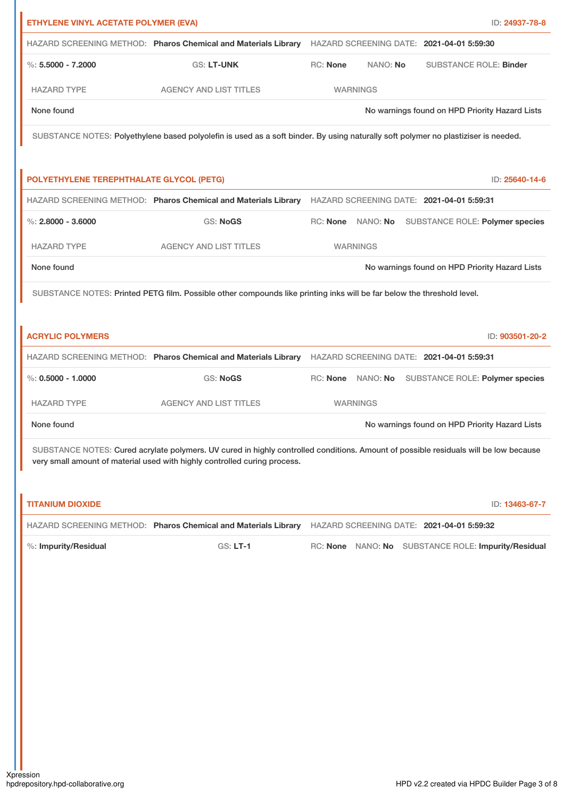| ETHYLENE VINYL ACETATE POLYMER (EVA)     |                                                                                                                                      |                      | ID: 24937-78-8                                      |
|------------------------------------------|--------------------------------------------------------------------------------------------------------------------------------------|----------------------|-----------------------------------------------------|
|                                          | HAZARD SCREENING METHOD: Pharos Chemical and Materials Library HAZARD SCREENING DATE: 2021-04-01 5:59:30                             |                      |                                                     |
| $\%$ : 5.5000 - 7.2000                   | <b>GS: LT-UNK</b>                                                                                                                    | RC: None<br>NANO: No | <b>SUBSTANCE ROLE: Binder</b>                       |
| <b>HAZARD TYPE</b>                       | <b>AGENCY AND LIST TITLES</b>                                                                                                        | <b>WARNINGS</b>      |                                                     |
| None found                               |                                                                                                                                      |                      | No warnings found on HPD Priority Hazard Lists      |
|                                          | SUBSTANCE NOTES: Polyethylene based polyolefin is used as a soft binder. By using naturally soft polymer no plastiziser is needed.   |                      |                                                     |
| POLYETHYLENE TEREPHTHALATE GLYCOL (PETG) |                                                                                                                                      |                      | ID: 25640-14-6                                      |
|                                          | HAZARD SCREENING METHOD: Pharos Chemical and Materials Library HAZARD SCREENING DATE: 2021-04-01 5:59:31                             |                      |                                                     |
| $\%$ : 2.8000 - 3.6000                   | <b>GS: NoGS</b>                                                                                                                      |                      | RC: None NANO: No SUBSTANCE ROLE: Polymer species   |
| <b>HAZARD TYPE</b>                       | <b>AGENCY AND LIST TITLES</b>                                                                                                        | <b>WARNINGS</b>      |                                                     |
| None found                               |                                                                                                                                      |                      | No warnings found on HPD Priority Hazard Lists      |
|                                          | SUBSTANCE NOTES: Printed PETG film. Possible other compounds like printing inks will be far below the threshold level.               |                      |                                                     |
|                                          |                                                                                                                                      |                      |                                                     |
| <b>ACRYLIC POLYMERS</b>                  |                                                                                                                                      |                      | ID: 903501-20-2                                     |
|                                          | HAZARD SCREENING METHOD: Pharos Chemical and Materials Library HAZARD SCREENING DATE: 2021-04-01 5:59:31                             |                      |                                                     |
| %: $0.5000 - 1.0000$                     | <b>GS: NoGS</b>                                                                                                                      |                      | RC: None NANO: No SUBSTANCE ROLE: Polymer species   |
| <b>HAZARD TYPE</b>                       | <b>AGENCY AND LIST TITLES</b>                                                                                                        | <b>WARNINGS</b>      |                                                     |
| None found                               |                                                                                                                                      |                      | No warnings found on HPD Priority Hazard Lists      |
|                                          | SUBSTANCE NOTES: Cured acrylate polymers. UV cured in highly controlled conditions. Amount of possible residuals will be low because |                      |                                                     |
|                                          | very small amount of material used with highly controlled curing process.                                                            |                      |                                                     |
|                                          |                                                                                                                                      |                      |                                                     |
| <b>TITANIUM DIOXIDE</b>                  |                                                                                                                                      |                      | ID: 13463-67-7                                      |
|                                          | HAZARD SCREENING METHOD: Pharos Chemical and Materials Library HAZARD SCREENING DATE: 2021-04-01 5:59:32                             |                      |                                                     |
| %: Impurity/Residual                     | <b>GS: LT-1</b>                                                                                                                      |                      | RC: None NANO: No SUBSTANCE ROLE: Impurity/Residual |
|                                          |                                                                                                                                      |                      |                                                     |
|                                          |                                                                                                                                      |                      |                                                     |
|                                          |                                                                                                                                      |                      |                                                     |
|                                          |                                                                                                                                      |                      |                                                     |
|                                          |                                                                                                                                      |                      |                                                     |
|                                          |                                                                                                                                      |                      |                                                     |
|                                          |                                                                                                                                      |                      |                                                     |
|                                          |                                                                                                                                      |                      |                                                     |
|                                          |                                                                                                                                      |                      |                                                     |
|                                          |                                                                                                                                      |                      |                                                     |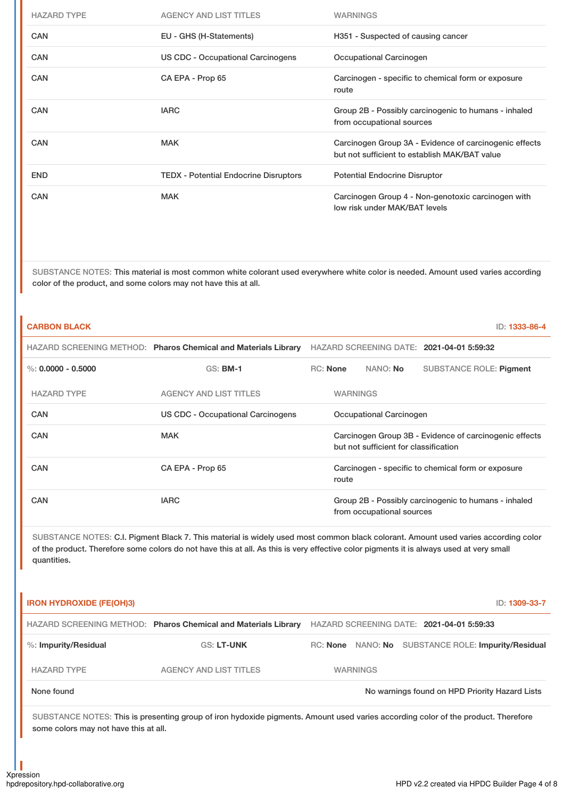| <b>HAZARD TYPE</b> | AGENCY AND LIST TITLES                       | <b>WARNINGS</b>                                                                                         |
|--------------------|----------------------------------------------|---------------------------------------------------------------------------------------------------------|
| <b>CAN</b>         | EU - GHS (H-Statements)                      | H351 - Suspected of causing cancer                                                                      |
| CAN                | US CDC - Occupational Carcinogens            | Occupational Carcinogen                                                                                 |
| <b>CAN</b>         | CA EPA - Prop 65                             | Carcinogen - specific to chemical form or exposure<br>route                                             |
| <b>CAN</b>         | <b>IARC</b>                                  | Group 2B - Possibly carcinogenic to humans - inhaled<br>from occupational sources                       |
| <b>CAN</b>         | <b>MAK</b>                                   | Carcinogen Group 3A - Evidence of carcinogenic effects<br>but not sufficient to establish MAK/BAT value |
| <b>END</b>         | <b>TEDX</b> - Potential Endocrine Disruptors | <b>Potential Endocrine Disruptor</b>                                                                    |
| CAN                | <b>MAK</b>                                   | Carcinogen Group 4 - Non-genotoxic carcinogen with<br>low risk under MAK/BAT levels                     |

SUBSTANCE NOTES: This material is most common white colorant used everywhere white color is needed. Amount used varies according color of the product, and some colors may not have this at all.

| <b>CARBON BLACK</b>  |                                                                                                                                                                                                                                                                               |                                                                                                 |                                                             |                           |                                                      | ID: 1333-86-4 |
|----------------------|-------------------------------------------------------------------------------------------------------------------------------------------------------------------------------------------------------------------------------------------------------------------------------|-------------------------------------------------------------------------------------------------|-------------------------------------------------------------|---------------------------|------------------------------------------------------|---------------|
|                      | HAZARD SCREENING METHOD: Pharos Chemical and Materials Library                                                                                                                                                                                                                |                                                                                                 |                                                             |                           | HAZARD SCREENING DATE: 2021-04-01 5:59:32            |               |
| %: $0.0000 - 0.5000$ | <b>GS: BM-1</b>                                                                                                                                                                                                                                                               | <b>RC:</b> None                                                                                 |                                                             | NANO: No                  | <b>SUBSTANCE ROLE: Pigment</b>                       |               |
| <b>HAZARD TYPE</b>   | <b>AGENCY AND LIST TITLES</b>                                                                                                                                                                                                                                                 | <b>WARNINGS</b>                                                                                 |                                                             |                           |                                                      |               |
| CAN                  | Occupational Carcinogen<br>US CDC - Occupational Carcinogens                                                                                                                                                                                                                  |                                                                                                 |                                                             |                           |                                                      |               |
| CAN                  | <b>MAK</b>                                                                                                                                                                                                                                                                    | Carcinogen Group 3B - Evidence of carcinogenic effects<br>but not sufficient for classification |                                                             |                           |                                                      |               |
| CAN                  | CA EPA - Prop 65                                                                                                                                                                                                                                                              |                                                                                                 | Carcinogen - specific to chemical form or exposure<br>route |                           |                                                      |               |
| CAN                  | <b>IARC</b>                                                                                                                                                                                                                                                                   |                                                                                                 |                                                             | from occupational sources | Group 2B - Possibly carcinogenic to humans - inhaled |               |
| quantities.          | SUBSTANCE NOTES: C.I. Pigment Black 7. This material is widely used most common black colorant. Amount used varies according color<br>of the product. Therefore some colors do not have this at all. As this is very effective color pigments it is always used at very small |                                                                                                 |                                                             |                           |                                                      |               |

| <b>IRON HYDROXIDE (FE(OH)3)</b> |                                                                |                 | ID: 1309-33-7                                       |
|---------------------------------|----------------------------------------------------------------|-----------------|-----------------------------------------------------|
|                                 | HAZARD SCREENING METHOD: Pharos Chemical and Materials Library |                 | HAZARD SCREENING DATE: 2021-04-01 5:59:33           |
| $%$ : Impurity/Residual         | <b>GS: LT-UNK</b>                                              |                 | RC: None NANO: No SUBSTANCE ROLE: Impurity/Residual |
| <b>HAZARD TYPE</b>              | AGENCY AND LIST TITLES                                         | <b>WARNINGS</b> |                                                     |
| None found                      |                                                                |                 | No warnings found on HPD Priority Hazard Lists      |

SUBSTANCE NOTES: This is presenting group of iron hydoxide pigments. Amount used varies according color of the product. Therefore some colors may not have this at all.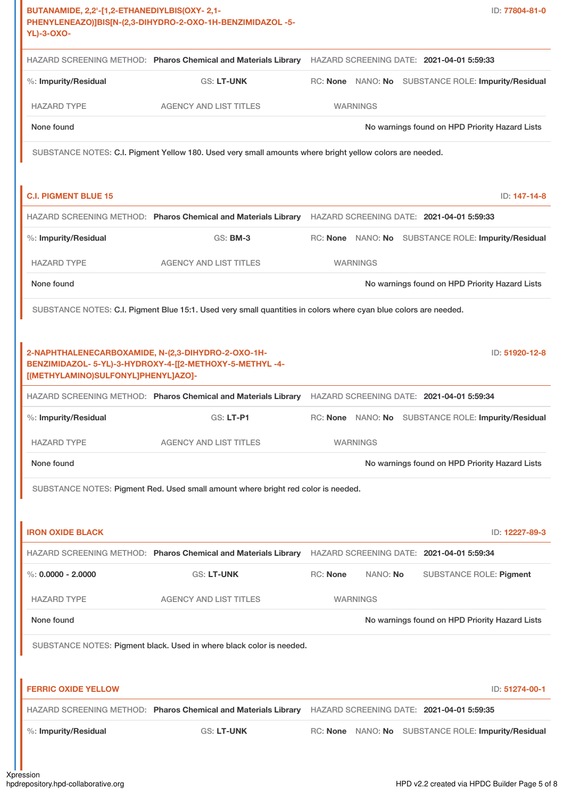| BUTANAMIDE, 2,2'-[1,2-ETHANEDIYLBIS(OXY-2,1-<br><b>YL)-3-OXO-</b>                         | PHENYLENEAZO)]BIS[N-(2,3-DIHYDRO-2-OXO-1H-BENZIMIDAZOL -5-                                                                                                                  |                      | ID: 77804-81-0                                      |
|-------------------------------------------------------------------------------------------|-----------------------------------------------------------------------------------------------------------------------------------------------------------------------------|----------------------|-----------------------------------------------------|
|                                                                                           | HAZARD SCREENING METHOD: Pharos Chemical and Materials Library HAZARD SCREENING DATE: 2021-04-01 5:59:33                                                                    |                      |                                                     |
| %: Impurity/Residual                                                                      | <b>GS: LT-UNK</b>                                                                                                                                                           |                      | RC: None NANO: No SUBSTANCE ROLE: Impurity/Residual |
| <b>HAZARD TYPE</b>                                                                        | <b>AGENCY AND LIST TITLES</b>                                                                                                                                               | <b>WARNINGS</b>      |                                                     |
| None found                                                                                |                                                                                                                                                                             |                      | No warnings found on HPD Priority Hazard Lists      |
|                                                                                           | SUBSTANCE NOTES: C.I. Pigment Yellow 180. Used very small amounts where bright yellow colors are needed.                                                                    |                      |                                                     |
| <b>C.I. PIGMENT BLUE 15</b>                                                               |                                                                                                                                                                             |                      | ID: 147-14-8                                        |
|                                                                                           | HAZARD SCREENING METHOD: Pharos Chemical and Materials Library HAZARD SCREENING DATE: 2021-04-01 5:59:33                                                                    |                      |                                                     |
| %: Impurity/Residual                                                                      | GS: BM-3                                                                                                                                                                    |                      | RC: None NANO: No SUBSTANCE ROLE: Impurity/Residual |
| <b>HAZARD TYPE</b>                                                                        | <b>AGENCY AND LIST TITLES</b>                                                                                                                                               | <b>WARNINGS</b>      |                                                     |
| None found                                                                                |                                                                                                                                                                             |                      | No warnings found on HPD Priority Hazard Lists      |
| 2-NAPHTHALENECARBOXAMIDE, N-(2,3-DIHYDRO-2-OXO-1H-<br>[(METHYLAMINO)SULFONYL]PHENYL]AZO]- | SUBSTANCE NOTES: C.I. Pigment Blue 15:1. Used very small quantities in colors where cyan blue colors are needed.<br>BENZIMIDAZOL- 5-YL)-3-HYDROXY-4-[[2-METHOXY-5-METHYL-4- |                      | ID: 51920-12-8                                      |
|                                                                                           | HAZARD SCREENING METHOD: Pharos Chemical and Materials Library HAZARD SCREENING DATE: 2021-04-01 5:59:34                                                                    |                      |                                                     |
| %: Impurity/Residual                                                                      | <b>GS: LT-P1</b>                                                                                                                                                            |                      | RC: None NANO: No SUBSTANCE ROLE: Impurity/Residual |
| <b>HAZARD TYPE</b>                                                                        | <b>AGENCY AND LIST TITLES</b>                                                                                                                                               | <b>WARNINGS</b>      |                                                     |
| None found                                                                                |                                                                                                                                                                             |                      | No warnings found on HPD Priority Hazard Lists      |
|                                                                                           | SUBSTANCE NOTES: Pigment Red. Used small amount where bright red color is needed.                                                                                           |                      |                                                     |
| <b>IRON OXIDE BLACK</b>                                                                   |                                                                                                                                                                             |                      | ID: 12227-89-3                                      |
|                                                                                           | HAZARD SCREENING METHOD: Pharos Chemical and Materials Library HAZARD SCREENING DATE: 2021-04-01 5:59:34                                                                    |                      |                                                     |
| $\%$ : 0.0000 - 2.0000                                                                    | GS: LT-UNK                                                                                                                                                                  | RC: None<br>NANO: No | <b>SUBSTANCE ROLE: Pigment</b>                      |
| <b>HAZARD TYPE</b>                                                                        | <b>AGENCY AND LIST TITLES</b>                                                                                                                                               | <b>WARNINGS</b>      |                                                     |
| None found                                                                                |                                                                                                                                                                             |                      | No warnings found on HPD Priority Hazard Lists      |
|                                                                                           | SUBSTANCE NOTES: Pigment black. Used in where black color is needed.                                                                                                        |                      |                                                     |
| <b>FERRIC OXIDE YELLOW</b>                                                                |                                                                                                                                                                             |                      |                                                     |
|                                                                                           |                                                                                                                                                                             |                      | ID: 51274-00-1                                      |
| %: Impurity/Residual                                                                      | HAZARD SCREENING METHOD: Pharos Chemical and Materials Library HAZARD SCREENING DATE: 2021-04-01 5:59:35<br>GS: LT-UNK                                                      |                      | RC: None NANO: No SUBSTANCE ROLE: Impurity/Residual |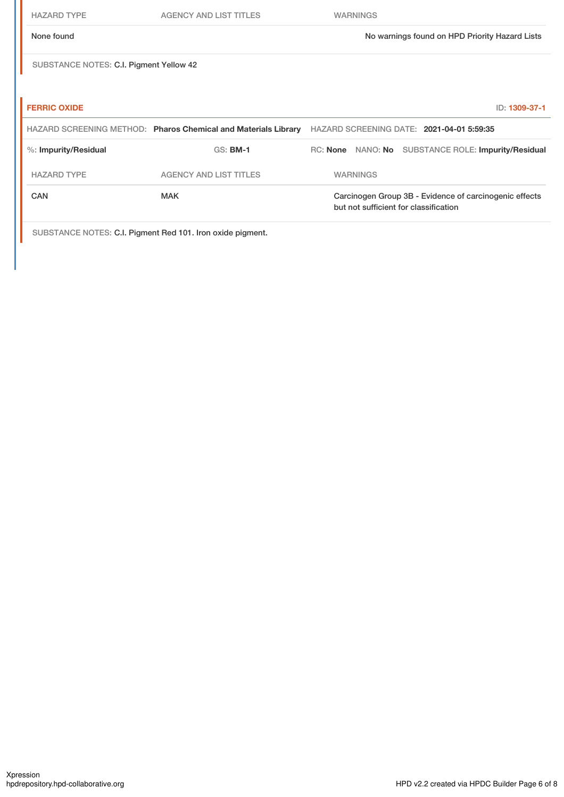| <b>HAZARD TYPE</b>                      | <b>AGENCY AND LIST TITLES</b>                                  | <b>WARNINGS</b>                                                                                 |
|-----------------------------------------|----------------------------------------------------------------|-------------------------------------------------------------------------------------------------|
| None found                              |                                                                | No warnings found on HPD Priority Hazard Lists                                                  |
| SUBSTANCE NOTES: C.I. Pigment Yellow 42 |                                                                |                                                                                                 |
|                                         |                                                                |                                                                                                 |
| <b>FERRIC OXIDE</b>                     |                                                                | ID: 1309-37-1                                                                                   |
|                                         | HAZARD SCREENING METHOD: Pharos Chemical and Materials Library | HAZARD SCREENING DATE: 2021-04-01 5:59:35                                                       |
| %: Impurity/Residual                    | <b>GS: BM-1</b>                                                | RC: None NANO: No SUBSTANCE ROLE: Impurity/Residual                                             |
| <b>HAZARD TYPE</b>                      | <b>AGENCY AND LIST TITLES</b>                                  | <b>WARNINGS</b>                                                                                 |
| CAN                                     | <b>MAK</b>                                                     | Carcinogen Group 3B - Evidence of carcinogenic effects<br>but not sufficient for classification |
|                                         | SUBSTANCE NOTES: C.I. Pigment Red 101. Iron oxide pigment.     |                                                                                                 |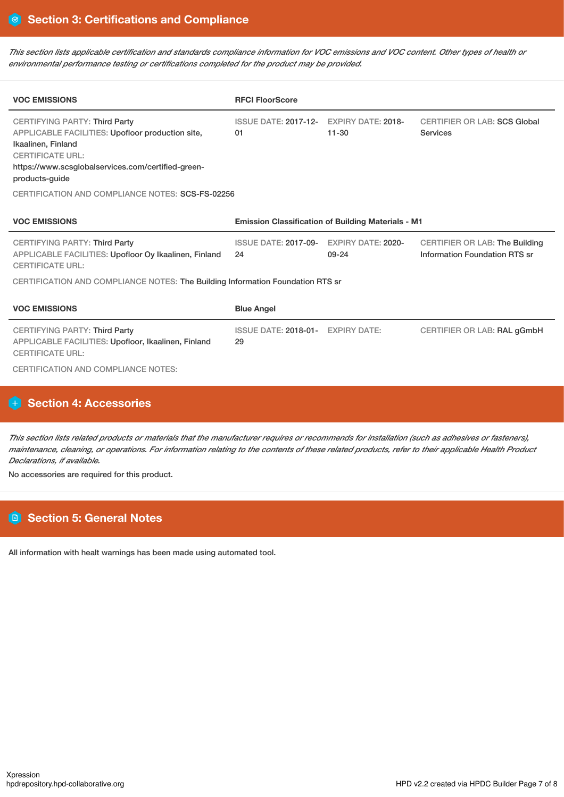This section lists applicable certification and standards compliance information for VOC emissions and VOC content. Other types of health or *environmental performance testing or certifications completed for the product may be provided.*

| <b>VOC EMISSIONS</b>                                                                                                                                                                                                                                                  | <b>RFCI FloorScore</b>                                    |                                        |                                                                        |  |
|-----------------------------------------------------------------------------------------------------------------------------------------------------------------------------------------------------------------------------------------------------------------------|-----------------------------------------------------------|----------------------------------------|------------------------------------------------------------------------|--|
| <b>CERTIFYING PARTY: Third Party</b><br>APPLICABLE FACILITIES: Upofloor production site,<br>Ikaalinen, Finland<br><b>CERTIFICATE URL:</b><br>https://www.scsglobalservices.com/certified-green-<br>products-quide<br>CERTIFICATION AND COMPLIANCE NOTES: SCS-FS-02256 | <b>ISSUE DATE: 2017-12-</b><br>01                         | <b>EXPIRY DATE: 2018-</b><br>$11 - 30$ | <b>CERTIFIER OR LAB: SCS Global</b><br>Services                        |  |
| <b>VOC EMISSIONS</b>                                                                                                                                                                                                                                                  | <b>Emission Classification of Building Materials - M1</b> |                                        |                                                                        |  |
| <b>CERTIFYING PARTY: Third Party</b><br>APPLICABLE FACILITIES: Upofloor Oy Ikaalinen, Finland<br><b>CERTIFICATE URL:</b>                                                                                                                                              | <b>ISSUE DATE: 2017-09-</b><br>24                         | <b>EXPIRY DATE: 2020-</b><br>$09 - 24$ | <b>CERTIFIER OR LAB: The Building</b><br>Information Foundation RTS sr |  |
| CERTIFICATION AND COMPLIANCE NOTES: The Building Information Foundation RTS sr                                                                                                                                                                                        |                                                           |                                        |                                                                        |  |
| <b>VOC EMISSIONS</b>                                                                                                                                                                                                                                                  | <b>Blue Angel</b>                                         |                                        |                                                                        |  |
| <b>CERTIFYING PARTY: Third Party</b><br>APPLICABLE FACILITIES: Upofloor, Ikaalinen, Finland<br><b>CERTIFICATE URL:</b><br><b>CERTIFICATION AND COMPLIANCE NOTES:</b>                                                                                                  | ISSUE DATE: 2018-01- EXPIRY DATE:<br>29                   |                                        | CERTIFIER OR LAB: RAL gGmbH                                            |  |

### **Section 4: Accessories**

This section lists related products or materials that the manufacturer requires or recommends for installation (such as adhesives or fasteners), maintenance, cleaning, or operations. For information relating to the contents of these related products, refer to their applicable Health Product *Declarations, if available.*

No accessories are required for this product.

### **Section 5: General Notes**

All information with healt warnings has been made using automated tool.